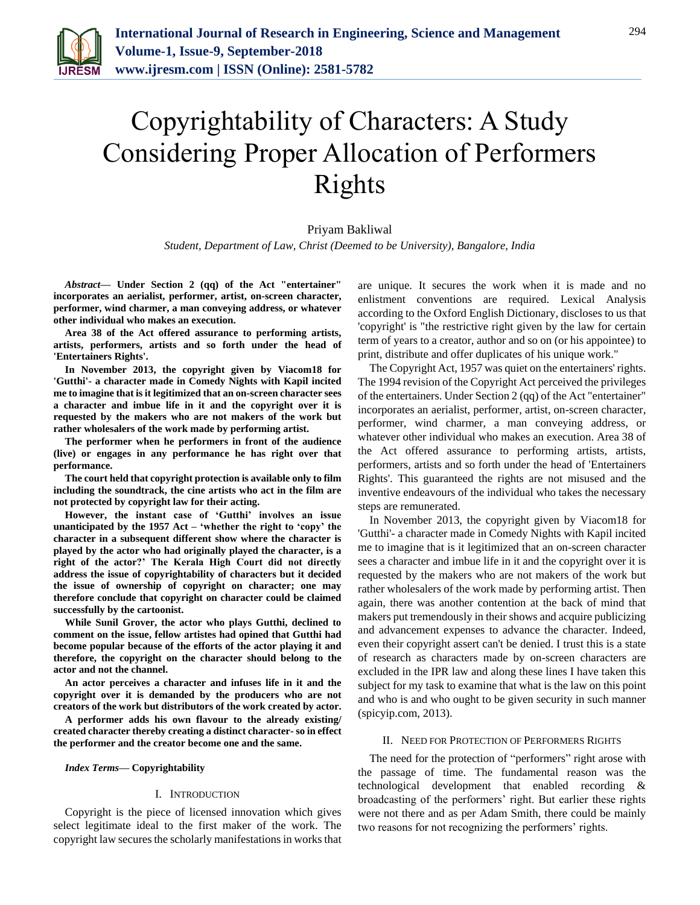

# Copyrightability of Characters: A Study Considering Proper Allocation of Performers Rights

## Priyam Bakliwal

*Student, Department of Law, Christ (Deemed to be University), Bangalore, India*

*Abstract***— Under Section 2 (qq) of the Act "entertainer" incorporates an aerialist, performer, artist, on-screen character, performer, wind charmer, a man conveying address, or whatever other individual who makes an execution.**

**Area 38 of the Act offered assurance to performing artists, artists, performers, artists and so forth under the head of 'Entertainers Rights'.**

**In November 2013, the copyright given by Viacom18 for 'Gutthi'- a character made in Comedy Nights with Kapil incited me to imagine that is it legitimized that an on-screen character sees a character and imbue life in it and the copyright over it is requested by the makers who are not makers of the work but rather wholesalers of the work made by performing artist.**

**The performer when he performers in front of the audience (live) or engages in any performance he has right over that performance.**

**The court held that copyright protection is available only to film including the soundtrack, the cine artists who act in the film are not protected by copyright law for their acting.**

**However, the instant case of 'Gutthi' involves an issue unanticipated by the 1957 Act – 'whether the right to 'copy' the character in a subsequent different show where the character is played by the actor who had originally played the character, is a right of the actor?' The Kerala High Court did not directly address the issue of copyrightability of characters but it decided the issue of ownership of copyright on character; one may therefore conclude that copyright on character could be claimed successfully by the cartoonist.**

**While Sunil Grover, the actor who plays Gutthi, declined to comment on the issue, fellow artistes had opined that Gutthi had become popular because of the efforts of the actor playing it and therefore, the copyright on the character should belong to the actor and not the channel.**

**An actor perceives a character and infuses life in it and the copyright over it is demanded by the producers who are not creators of the work but distributors of the work created by actor.**

**A performer adds his own flavour to the already existing/ created character thereby creating a distinct character- so in effect the performer and the creator become one and the same.**

*Index Terms***— Copyrightability**

### I. INTRODUCTION

Copyright is the piece of licensed innovation which gives select legitimate ideal to the first maker of the work. The copyright law secures the scholarly manifestations in works that are unique. It secures the work when it is made and no enlistment conventions are required. Lexical Analysis according to the Oxford English Dictionary, discloses to us that 'copyright' is "the restrictive right given by the law for certain term of years to a creator, author and so on (or his appointee) to print, distribute and offer duplicates of his unique work."

The Copyright Act, 1957 was quiet on the entertainers' rights. The 1994 revision of the Copyright Act perceived the privileges of the entertainers. Under Section 2 (qq) of the Act "entertainer" incorporates an aerialist, performer, artist, on-screen character, performer, wind charmer, a man conveying address, or whatever other individual who makes an execution. Area 38 of the Act offered assurance to performing artists, artists, performers, artists and so forth under the head of 'Entertainers Rights'. This guaranteed the rights are not misused and the inventive endeavours of the individual who takes the necessary steps are remunerated.

In November 2013, the copyright given by Viacom18 for 'Gutthi'- a character made in Comedy Nights with Kapil incited me to imagine that is it legitimized that an on-screen character sees a character and imbue life in it and the copyright over it is requested by the makers who are not makers of the work but rather wholesalers of the work made by performing artist. Then again, there was another contention at the back of mind that makers put tremendously in their shows and acquire publicizing and advancement expenses to advance the character. Indeed, even their copyright assert can't be denied. I trust this is a state of research as characters made by on-screen characters are excluded in the IPR law and along these lines I have taken this subject for my task to examine that what is the law on this point and who is and who ought to be given security in such manner (spicyip.com, 2013).

### II. NEED FOR PROTECTION OF PERFORMERS RIGHTS

The need for the protection of "performers" right arose with the passage of time. The fundamental reason was the technological development that enabled recording & broadcasting of the performers' right. But earlier these rights were not there and as per Adam Smith, there could be mainly two reasons for not recognizing the performers' rights.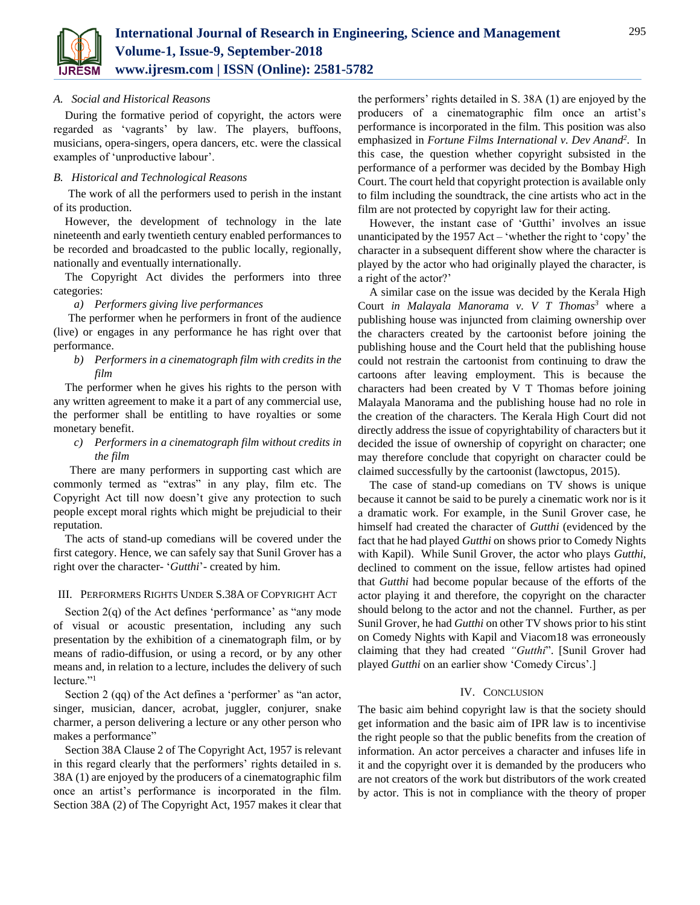

## *A. Social and Historical Reasons*

During the formative period of copyright, the actors were regarded as 'vagrants' by law. The players, buffoons, musicians, opera-singers, opera dancers, etc. were the classical examples of 'unproductive labour'.

#### *B. Historical and Technological Reasons*

The work of all the performers used to perish in the instant of its production.

However, the development of technology in the late nineteenth and early twentieth century enabled performances to be recorded and broadcasted to the public locally, regionally, nationally and eventually internationally.

The Copyright Act divides the performers into three categories:

## *a) Performers giving live performances*

The performer when he performers in front of the audience (live) or engages in any performance he has right over that performance.

*b) Performers in a cinematograph film with credits in the film*

The performer when he gives his rights to the person with any written agreement to make it a part of any commercial use, the performer shall be entitling to have royalties or some monetary benefit.

*c) Performers in a cinematograph film without credits in the film*

There are many performers in supporting cast which are commonly termed as "extras" in any play, film etc. The Copyright Act till now doesn't give any protection to such people except moral rights which might be prejudicial to their reputation.

The acts of stand-up comedians will be covered under the first category. Hence, we can safely say that Sunil Grover has a right over the character- '*Gutthi*'- created by him.

## III. PERFORMERS RIGHTS UNDER S.38A OF COPYRIGHT ACT

Section 2(q) of the Act defines 'performance' as "any mode of visual or acoustic presentation, including any such presentation by the exhibition of a cinematograph film, or by means of radio-diffusion, or using a record, or by any other means and, in relation to a lecture, includes the delivery of such lecture."<sup>1</sup>

Section 2 (qq) of the Act defines a 'performer' as "an actor, singer, musician, dancer, acrobat, juggler, conjurer, snake charmer, a person delivering a lecture or any other person who makes a performance"

Section 38A Clause 2 of The Copyright Act, 1957 is relevant in this regard clearly that the performers' rights detailed in s. 38A (1) are enjoyed by the producers of a cinematographic film once an artist's performance is incorporated in the film. Section 38A (2) of The Copyright Act, 1957 makes it clear that

the performers' rights detailed in S. 38A (1) are enjoyed by the producers of a cinematographic film once an artist's performance is incorporated in the film. This position was also emphasized in *Fortune Films International v. Dev Anand<sup>2</sup> .* In this case, the question whether copyright subsisted in the performance of a performer was decided by the Bombay High Court. The court held that copyright protection is available only to film including the soundtrack, the cine artists who act in the film are not protected by copyright law for their acting.

However, the instant case of 'Gutthi' involves an issue unanticipated by the 1957 Act – 'whether the right to 'copy' the character in a subsequent different show where the character is played by the actor who had originally played the character, is a right of the actor?'

A similar case on the issue was decided by the Kerala High Court *in Malayala Manorama v. V T Thomas<sup>3</sup>* where a publishing house was injuncted from claiming ownership over the characters created by the cartoonist before joining the publishing house and the Court held that the publishing house could not restrain the cartoonist from continuing to draw the cartoons after leaving employment. This is because the characters had been created by V T Thomas before joining Malayala Manorama and the publishing house had no role in the creation of the characters. The Kerala High Court did not directly address the issue of copyrightability of characters but it decided the issue of ownership of copyright on character; one may therefore conclude that copyright on character could be claimed successfully by the cartoonist (lawctopus, 2015).

The case of stand-up comedians on TV shows is unique because it cannot be said to be purely a cinematic work nor is it a dramatic work. For example, in the Sunil Grover case, he himself had created the character of *Gutthi* (evidenced by the fact that he had played *Gutthi* on shows prior to Comedy Nights with Kapil). While Sunil Grover, the actor who plays *Gutthi*, declined to comment on the issue, fellow artistes had opined that *Gutthi* had become popular because of the efforts of the actor playing it and therefore, the copyright on the character should belong to the actor and not the channel. Further, as per Sunil Grover, he had *Gutthi* on other TV shows prior to his stint on Comedy Nights with Kapil and Viacom18 was erroneously claiming that they had created *"Gutthi*". [Sunil Grover had played *Gutthi* on an earlier show 'Comedy Circus'.]

#### IV. CONCLUSION

The basic aim behind copyright law is that the society should get information and the basic aim of IPR law is to incentivise the right people so that the public benefits from the creation of information. An actor perceives a character and infuses life in it and the copyright over it is demanded by the producers who are not creators of the work but distributors of the work created by actor. This is not in compliance with the theory of proper